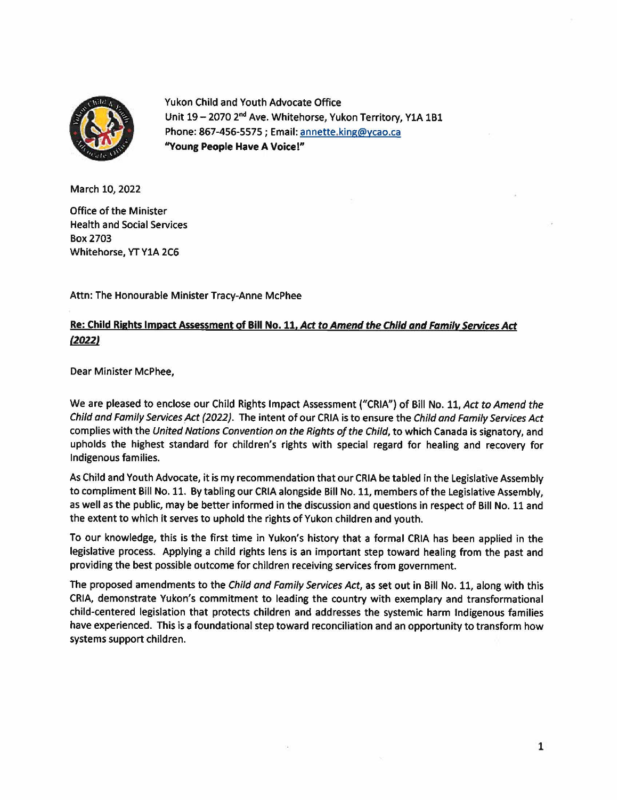

Yukon Child and Youth Advocate Office Unit 19 - 2070 2<sup>nd</sup> Ave. Whitehorse, Yukon Territory, Y1A 1B1 Phone: 867-456-5575; Email: annette.king@ycao.ca **''Young People Have A Voice!"** 

March 10, 2022

Office of the Minister Health and Social Services Box2703 Whitehorse, YT YlA 2C6

Attn: The Honourable Minister Tracy-Anne McPhee

## **Re: Child Rights Impact Assessment of Bill No. 11. Act to Amend the Child and Family Services Act (20221**

Dear Minister McPhee,

We are pleased to enclose our Child Rights Impact Assessment ("CRIA") of Bill No. 11, Act to Amend the Child and Family Services Act (2022). The intent of our CRIA is to ensure the Child and Family Services Act complies with the United Nations Convention on the Rights of the Child, to which Canada is signatory, and upholds the highest standard for children's rights with special regard for healing and recovery for Indigenous families.

As Child and Youth Advocate, it is my recommendation that our CRIA be tabled in the Legislative Assembly to compliment Bill No. 11. By tabling our CRIA alongside Bill No. 11, members of the Legislative Assembly, as well as the public, may be better informed in the discussion and questions in respect of Bill No. 11 and the extent to which it serves to uphold the rights of Yukon children and youth.

To our knowledge, this is the first time in Yukon's history that a formal CRIA has been applied in the legislative process. Applying a child rights lens is an important step toward healing from the past and providing the best possible outcome for children receiving services from government.

The proposed amendments to the Child and Family Services Act, as set out in Bill No. 11, along with this CRIA, demonstrate Yukon's commitment to leading the country with exemplary and transformational child-centered legislation that protects children and addresses the systemic harm Indigenous families have experienced. This is a foundational step toward reconciliation and an opportunity to transform how systems support children.